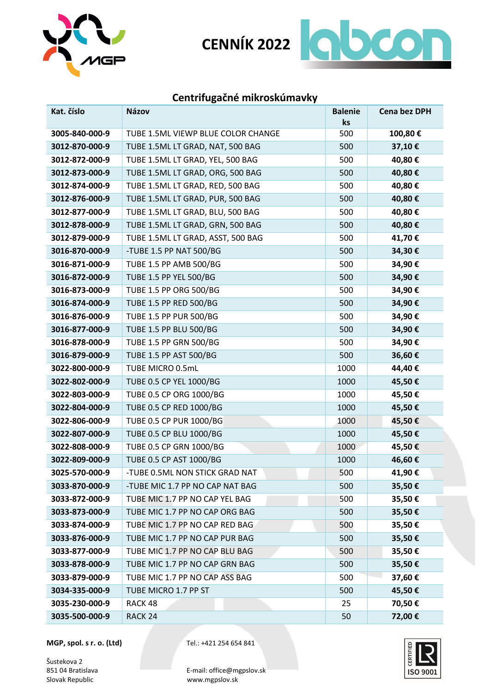



## **Centrifugačné mikroskúmavky**

| Kat. číslo     | Názov                              | <b>Balenie</b> | <b>Cena bez DPH</b> |
|----------------|------------------------------------|----------------|---------------------|
|                |                                    | ks             |                     |
| 3005-840-000-9 | TUBE 1.5ML VIEWP BLUE COLOR CHANGE | 500            | 100,80€             |
| 3012-870-000-9 | TUBE 1.5ML LT GRAD, NAT, 500 BAG   | 500            | 37,10€              |
| 3012-872-000-9 | TUBE 1.5ML LT GRAD, YEL, 500 BAG   | 500            | 40,80€              |
| 3012-873-000-9 | TUBE 1.5ML LT GRAD, ORG, 500 BAG   | 500            | 40,80€              |
| 3012-874-000-9 | TUBE 1.5ML LT GRAD, RED, 500 BAG   | 500            | 40,80€              |
| 3012-876-000-9 | TUBE 1.5ML LT GRAD, PUR, 500 BAG   | 500            | 40,80€              |
| 3012-877-000-9 | TUBE 1.5ML LT GRAD, BLU, 500 BAG   | 500            | 40,80€              |
| 3012-878-000-9 | TUBE 1.5ML LT GRAD, GRN, 500 BAG   | 500            | 40,80€              |
| 3012-879-000-9 | TUBE 1.5ML LT GRAD, ASST, 500 BAG  | 500            | 41,70€              |
| 3016-870-000-9 | -TUBE 1.5 PP NAT 500/BG            | 500            | 34,30€              |
| 3016-871-000-9 | TUBE 1.5 PP AMB 500/BG             | 500            | 34,90€              |
| 3016-872-000-9 | TUBE 1.5 PP YEL 500/BG             | 500            | 34,90€              |
| 3016-873-000-9 | TUBE 1.5 PP ORG 500/BG             | 500            | 34,90€              |
| 3016-874-000-9 | TUBE 1.5 PP RED 500/BG             | 500            | 34,90€              |
| 3016-876-000-9 | TUBE 1.5 PP PUR 500/BG             | 500            | 34,90€              |
| 3016-877-000-9 | TUBE 1.5 PP BLU 500/BG             | 500            | 34,90€              |
| 3016-878-000-9 | TUBE 1.5 PP GRN 500/BG             | 500            | 34,90€              |
| 3016-879-000-9 | TUBE 1.5 PP AST 500/BG             | 500            | 36,60€              |
| 3022-800-000-9 | TUBE MICRO 0.5mL                   | 1000           | 44,40€              |
| 3022-802-000-9 | TUBE 0.5 CP YEL 1000/BG            | 1000           | 45,50€              |
| 3022-803-000-9 | TUBE 0.5 CP ORG 1000/BG            | 1000           | 45,50€              |
| 3022-804-000-9 | TUBE 0.5 CP RED 1000/BG            | 1000           | 45,50€              |
| 3022-806-000-9 | TUBE 0.5 CP PUR 1000/BG            | 1000           | 45,50€              |
| 3022-807-000-9 | TUBE 0.5 CP BLU 1000/BG            | 1000           | 45,50€              |
| 3022-808-000-9 | TUBE 0.5 CP GRN 1000/BG            | 1000           | 45,50€              |
| 3022-809-000-9 | TUBE 0.5 CP AST 1000/BG            | 1000           | 46,60€              |
| 3025-570-000-9 | -TUBE 0.5ML NON STICK GRAD NAT     | 500            | 41,90€              |
| 3033-870-000-9 | -TUBE MIC 1.7 PP NO CAP NAT BAG    | 500            | 35,50€              |
| 3033-872-000-9 | TUBE MIC 1.7 PP NO CAP YEL BAG     | 500            | 35,50€              |
| 3033-873-000-9 | TUBE MIC 1.7 PP NO CAP ORG BAG     | 500            | 35,50€              |
| 3033-874-000-9 | TUBE MIC 1.7 PP NO CAP RED BAG     | 500            | 35,50€              |
| 3033-876-000-9 | TUBE MIC 1.7 PP NO CAP PUR BAG     | 500            | 35,50€              |
| 3033-877-000-9 | TUBE MIC 1.7 PP NO CAP BLU BAG     | 500            | 35,50€              |
| 3033-878-000-9 | TUBE MIC 1.7 PP NO CAP GRN BAG     | 500            | 35,50€              |
| 3033-879-000-9 | TUBE MIC 1.7 PP NO CAP ASS BAG     | 500            | 37,60€              |
| 3034-335-000-9 | TUBE MICRO 1.7 PP ST               | 500            | 45,50€              |
| 3035-230-000-9 | RACK 48                            | 25             | 70,50€              |
| 3035-500-000-9 | RACK <sub>24</sub>                 | 50             | 72,00€              |

**MGP, spol. s r. o. (Ltd)** Tel.: +421 254 654 841

Šustekova 2<br>851 04 Bratislava

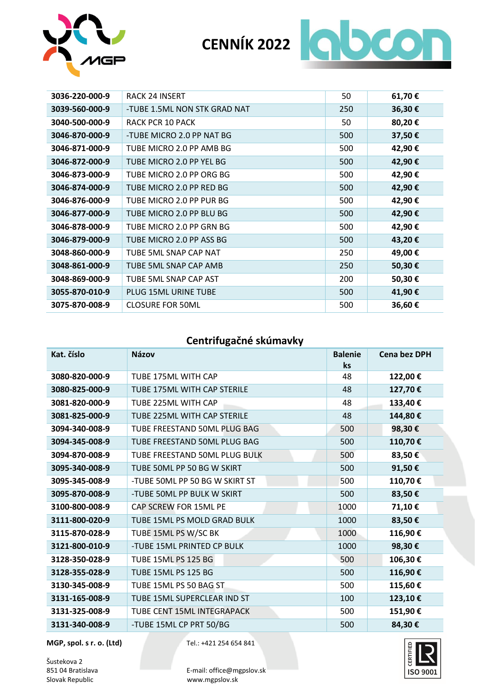



| 3036-220-000-9 | <b>RACK 24 INSERT</b>        | 50  | 61,70€  |
|----------------|------------------------------|-----|---------|
| 3039-560-000-9 | -TUBE 1.5ML NON STK GRAD NAT | 250 | 36,30€  |
| 3040-500-000-9 | RACK PCR 10 PACK             | 50  | 80,20€  |
| 3046-870-000-9 | -TUBE MICRO 2.0 PP NAT BG    | 500 | 37,50€  |
| 3046-871-000-9 | TUBE MICRO 2.0 PP AMB BG     | 500 | 42,90€  |
| 3046-872-000-9 | TUBE MICRO 2.0 PP YEL BG     | 500 | 42,90€  |
| 3046-873-000-9 | TUBE MICRO 2.0 PP ORG BG     | 500 | 42,90€  |
| 3046-874-000-9 | TUBE MICRO 2.0 PP RED BG     | 500 | 42,90€  |
| 3046-876-000-9 | TUBE MICRO 2.0 PP PUR BG     | 500 | 42,90€  |
| 3046-877-000-9 | TUBE MICRO 2.0 PP BLU BG     | 500 | 42,90€  |
| 3046-878-000-9 | TUBE MICRO 2.0 PP GRN BG     | 500 | 42,90€  |
| 3046-879-000-9 | TUBE MICRO 2.0 PP ASS BG     | 500 | 43,20€  |
| 3048-860-000-9 | TUBE 5ML SNAP CAP NAT        | 250 | 49,00 € |
| 3048-861-000-9 | TUBE 5ML SNAP CAP AMB        | 250 | 50,30€  |
| 3048-869-000-9 | TUBE 5ML SNAP CAP AST        | 200 | 50,30€  |
| 3055-870-010-9 | PLUG 15ML URINE TUBE         | 500 | 41,90 € |
| 3075-870-008-9 | <b>CLOSURE FOR 50ML</b>      | 500 | 36,60€  |

#### **Centrifugačné skúmavky**

| Kat. číslo     | <b>Názov</b>                   | <b>Balenie</b><br>ks | <b>Cena bez DPH</b> |
|----------------|--------------------------------|----------------------|---------------------|
| 3080-820-000-9 | TUBE 175ML WITH CAP            | 48                   | 122,00€             |
| 3080-825-000-9 | TUBE 175ML WITH CAP STERILE    | 48                   | 127,70€             |
| 3081-820-000-9 | TUBE 225ML WITH CAP            | 48                   | 133,40€             |
| 3081-825-000-9 | TUBE 225ML WITH CAP STERILE    | 48                   | 144,80€             |
| 3094-340-008-9 | TUBE FREESTAND 50ML PLUG BAG   | 500                  | 98,30€              |
| 3094-345-008-9 | TUBE FREESTAND 50ML PLUG BAG   | 500                  | 110,70€             |
| 3094-870-008-9 | TUBE FREESTAND 50ML PLUG BULK  | 500                  | 83,50€              |
| 3095-340-008-9 | TUBE 50ML PP 50 BG W SKIRT     | 500                  | 91,50€              |
| 3095-345-008-9 | -TUBE 50ML PP 50 BG W SKIRT ST | 500                  | 110,70€             |
| 3095-870-008-9 | -TUBE 50ML PP BULK W SKIRT     | 500                  | 83,50€              |
| 3100-800-008-9 | CAP SCREW FOR 15ML PE          | 1000                 | 71,10€              |
| 3111-800-020-9 | TUBE 15ML PS MOLD GRAD BULK    | 1000                 | 83,50€              |
| 3115-870-028-9 | TUBE 15ML PS W/SC BK           | 1000                 | 116,90€             |
| 3121-800-010-9 | -TUBE 15ML PRINTED CP BULK     | 1000                 | 98,30€              |
| 3128-350-028-9 | <b>TUBE 15ML PS 125 BG</b>     | 500                  | 106,30€             |
| 3128-355-028-9 | <b>TUBE 15ML PS 125 BG</b>     | 500                  | 116,90€             |
| 3130-345-008-9 | TUBE 15ML PS 50 BAG ST         | 500                  | 115,60€             |
| 3131-165-008-9 | TUBE 15ML SUPERCLEAR IND ST    | 100                  | 123,10€             |
| 3131-325-008-9 | TUBE CENT 15ML INTEGRAPACK     | 500                  | 151,90€             |
| 3131-340-008-9 | -TUBE 15ML CP PRT 50/BG        | 500                  | 84,30€              |

**MGP, spol. s r. o. (Ltd)** Tel.: +421 254 654 841

Šustekova 2<br>851 04 Bratislava

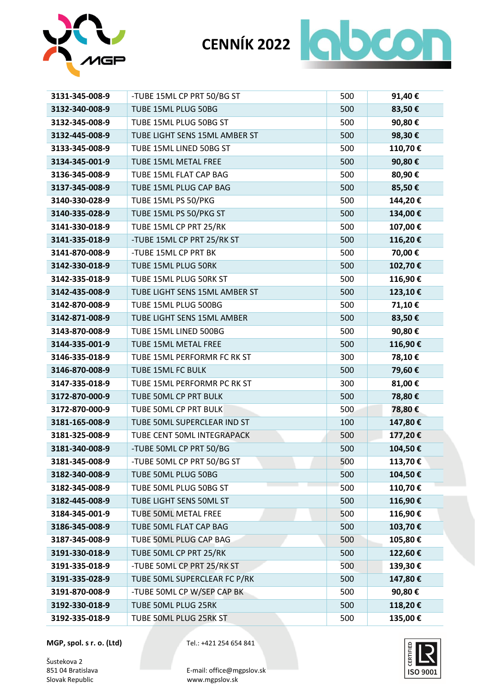



| 3131-345-008-9 | -TUBE 15ML CP PRT 50/BG ST    | 500 | 91,40€  |
|----------------|-------------------------------|-----|---------|
| 3132-340-008-9 | TUBE 15ML PLUG 50BG           | 500 | 83,50€  |
| 3132-345-008-9 | TUBE 15ML PLUG 50BG ST        | 500 | 90,80€  |
| 3132-445-008-9 | TUBE LIGHT SENS 15ML AMBER ST | 500 | 98,30€  |
| 3133-345-008-9 | TUBE 15ML LINED 50BG ST       | 500 | 110,70€ |
| 3134-345-001-9 | TUBE 15ML METAL FREE          | 500 | 90,80€  |
| 3136-345-008-9 | TUBE 15ML FLAT CAP BAG        | 500 | 80,90€  |
| 3137-345-008-9 | TUBE 15ML PLUG CAP BAG        | 500 | 85,50€  |
| 3140-330-028-9 | TUBE 15ML PS 50/PKG           | 500 | 144,20€ |
| 3140-335-028-9 | TUBE 15ML PS 50/PKG ST        | 500 | 134,00€ |
| 3141-330-018-9 | TUBE 15ML CP PRT 25/RK        | 500 | 107,00€ |
| 3141-335-018-9 | -TUBE 15ML CP PRT 25/RK ST    | 500 | 116,20€ |
| 3141-870-008-9 | -TUBE 15ML CP PRT BK          | 500 | 70,00€  |
| 3142-330-018-9 | TUBE 15ML PLUG 50RK           | 500 | 102,70€ |
| 3142-335-018-9 | TUBE 15ML PLUG 50RK ST        | 500 | 116,90€ |
| 3142-435-008-9 | TUBE LIGHT SENS 15ML AMBER ST | 500 | 123,10€ |
| 3142-870-008-9 | TUBE 15ML PLUG 500BG          | 500 | 71,10€  |
| 3142-871-008-9 | TUBE LIGHT SENS 15ML AMBER    | 500 | 83,50€  |
| 3143-870-008-9 | TUBE 15ML LINED 500BG         | 500 | 90,80€  |
| 3144-335-001-9 | TUBE 15ML METAL FREE          | 500 | 116,90€ |
| 3146-335-018-9 | TUBE 15ML PERFORMR FC RK ST   | 300 | 78,10€  |
| 3146-870-008-9 | TUBE 15ML FC BULK             | 500 | 79,60€  |
| 3147-335-018-9 | TUBE 15ML PERFORMR PC RK ST   | 300 | 81,00€  |
| 3172-870-000-9 | TUBE 50ML CP PRT BULK         | 500 | 78,80€  |
| 3172-870-000-9 | TUBE 50ML CP PRT BULK         | 500 | 78,80€  |
| 3181-165-008-9 | TUBE 50ML SUPERCLEAR IND ST   | 100 | 147,80€ |
| 3181-325-008-9 | TUBE CENT 50ML INTEGRAPACK    | 500 | 177,20€ |
| 3181-340-008-9 | -TUBE 50ML CP PRT 50/BG       | 500 | 104,50€ |
| 3181-345-008-9 | -TUBE 50ML CP PRT 50/BG ST    | 500 | 113,70€ |
| 3182-340-008-9 | TUBE 50ML PLUG 50BG           | 500 | 104,50€ |
| 3182-345-008-9 | TUBE 50ML PLUG 50BG ST        | 500 | 110,70€ |
| 3182-445-008-9 | TUBE LIGHT SENS 50ML ST       | 500 | 116,90€ |
| 3184-345-001-9 | <b>TUBE 50ML METAL FREE</b>   | 500 | 116,90€ |
| 3186-345-008-9 | TUBE 50ML FLAT CAP BAG        | 500 | 103,70€ |
| 3187-345-008-9 | TUBE 50ML PLUG CAP BAG        | 500 | 105,80€ |
| 3191-330-018-9 | TUBE 50ML CP PRT 25/RK        | 500 | 122,60€ |
| 3191-335-018-9 | -TUBE 50ML CP PRT 25/RK ST    | 500 | 139,30€ |
| 3191-335-028-9 | TUBE 50ML SUPERCLEAR FC P/RK  | 500 | 147,80€ |
| 3191-870-008-9 | -TUBE 50ML CP W/SEP CAP BK    | 500 | 90,80€  |
| 3192-330-018-9 | TUBE 50ML PLUG 25RK           | 500 | 118,20€ |
| 3192-335-018-9 | TUBE 50ML PLUG 25RK ST        | 500 | 135,00€ |

**MGP, spol. s r. o. (Ltd)** Tel.: +421 254 654 841

Šustekova 2<br>851 04 Bratislava

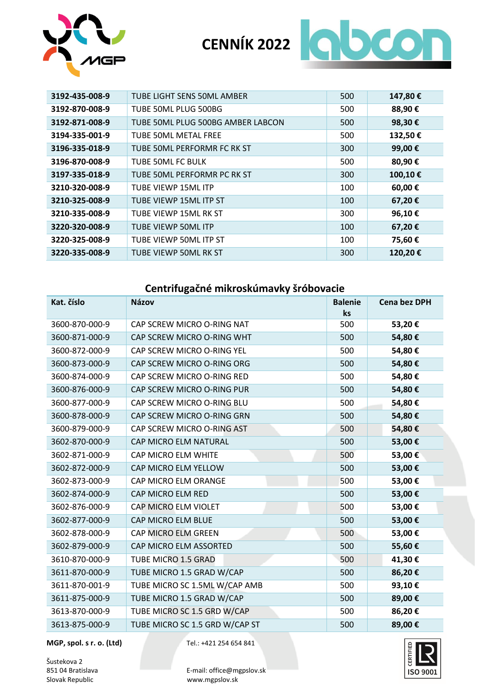



| 3192-435-008-9 | TUBE LIGHT SENS 50ML AMBER        | 500 | 147,80€ |
|----------------|-----------------------------------|-----|---------|
| 3192-870-008-9 | TUBE 50ML PLUG 500BG              | 500 | 88,90€  |
| 3192-871-008-9 | TUBE 50ML PLUG 500BG AMBER LABCON | 500 | 98,30€  |
| 3194-335-001-9 | TUBE 50ML METAL FREE              | 500 | 132,50€ |
| 3196-335-018-9 | TUBE 50ML PERFORMR FC RK ST       | 300 | 99,00€  |
| 3196-870-008-9 | TUBE 50ML FC BULK                 | 500 | 80,90€  |
| 3197-335-018-9 | TUBE 50ML PERFORMR PC RK ST       | 300 | 100,10€ |
| 3210-320-008-9 | TUBE VIEWP 15ML ITP               | 100 | 60,00€  |
| 3210-325-008-9 | TUBE VIEWP 15ML ITP ST            | 100 | 67,20€  |
| 3210-335-008-9 | TUBE VIEWP 15ML RK ST             | 300 | 96,10€  |
| 3220-320-008-9 | TUBE VIEWP 50ML ITP               | 100 | 67,20€  |
| 3220-325-008-9 | TUBE VIEWP 50ML ITP ST            | 100 | 75,60€  |
| 3220-335-008-9 | TUBE VIEWP 50ML RK ST             | 300 | 120,20€ |

#### **Centrifugačné mikroskúmavky šróbovacie**

| Kat. číslo     | <b>Názov</b>                   | <b>Balenie</b><br>ks | <b>Cena bez DPH</b> |
|----------------|--------------------------------|----------------------|---------------------|
| 3600-870-000-9 | CAP SCREW MICRO O-RING NAT     | 500                  | 53,20€              |
| 3600-871-000-9 | CAP SCREW MICRO O-RING WHT     | 500                  | 54,80€              |
| 3600-872-000-9 | CAP SCREW MICRO O-RING YEL     | 500                  | 54,80€              |
| 3600-873-000-9 | CAP SCREW MICRO O-RING ORG     | 500                  | 54,80€              |
| 3600-874-000-9 | CAP SCREW MICRO O-RING RED     | 500                  | 54,80€              |
| 3600-876-000-9 | CAP SCREW MICRO O-RING PUR     | 500                  | 54,80€              |
| 3600-877-000-9 | CAP SCREW MICRO O-RING BLU     | 500                  | 54,80€              |
| 3600-878-000-9 | CAP SCREW MICRO O-RING GRN     | 500                  | 54,80€              |
| 3600-879-000-9 | CAP SCREW MICRO O-RING AST     | 500                  | 54,80€              |
| 3602-870-000-9 | CAP MICRO ELM NATURAL          | 500                  | 53,00€              |
| 3602-871-000-9 | CAP MICRO ELM WHITE            | 500                  | 53,00€              |
| 3602-872-000-9 | CAP MICRO ELM YELLOW           | 500                  | 53,00€              |
| 3602-873-000-9 | CAP MICRO ELM ORANGE           | 500                  | 53,00€              |
| 3602-874-000-9 | CAP MICRO ELM RED              | 500                  | 53,00€              |
| 3602-876-000-9 | CAP MICRO ELM VIOLET           | 500                  | 53,00€              |
| 3602-877-000-9 | CAP MICRO ELM BLUE             | 500                  | 53,00€              |
| 3602-878-000-9 | CAP MICRO ELM GREEN            | 500                  | 53,00€              |
| 3602-879-000-9 | CAP MICRO ELM ASSORTED         | 500                  | 55,60€              |
| 3610-870-000-9 | TUBE MICRO 1.5 GRAD            | 500                  | 41,30€              |
| 3611-870-000-9 | TUBE MICRO 1.5 GRAD W/CAP      | 500                  | 86,20€              |
| 3611-870-001-9 | TUBE MICRO SC 1.5ML W/CAP AMB  | 500                  | 93,10€              |
| 3611-875-000-9 | TUBE MICRO 1.5 GRAD W/CAP      | 500                  | 89,00€              |
| 3613-870-000-9 | TUBE MICRO SC 1.5 GRD W/CAP    | 500                  | 86,20€              |
| 3613-875-000-9 | TUBE MICRO SC 1.5 GRD W/CAP ST | 500                  | 89,00€              |

**MGP, spol. s r. o. (Ltd)** Tel.: +421 254 654 841

Šustekova 2<br>851 04 Bratislava

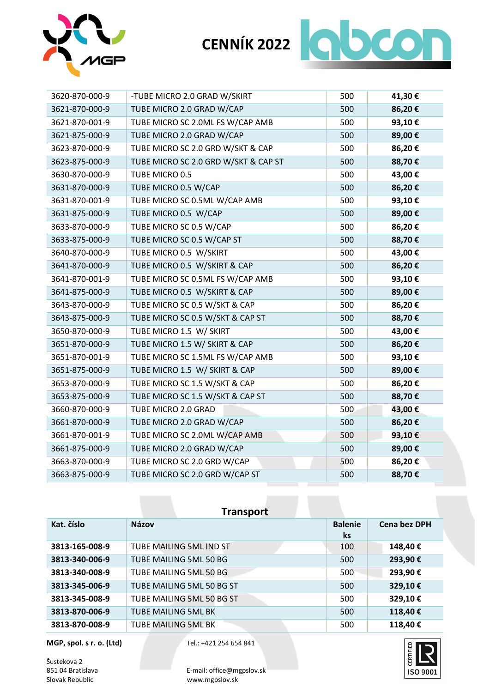



| 3620-870-000-9 | -TUBE MICRO 2.0 GRAD W/SKIRT         | 500 | 41,30€ |
|----------------|--------------------------------------|-----|--------|
| 3621-870-000-9 | TUBE MICRO 2.0 GRAD W/CAP            | 500 | 86,20€ |
| 3621-870-001-9 | TUBE MICRO SC 2.0ML FS W/CAP AMB     | 500 | 93,10€ |
| 3621-875-000-9 | TUBE MICRO 2.0 GRAD W/CAP            | 500 | 89,00€ |
| 3623-870-000-9 | TUBE MICRO SC 2.0 GRD W/SKT & CAP    | 500 | 86,20€ |
| 3623-875-000-9 | TUBE MICRO SC 2.0 GRD W/SKT & CAP ST | 500 | 88,70€ |
| 3630-870-000-9 | TUBE MICRO 0.5                       | 500 | 43,00€ |
| 3631-870-000-9 | TUBE MICRO 0.5 W/CAP                 | 500 | 86,20€ |
| 3631-870-001-9 | TUBE MICRO SC 0.5ML W/CAP AMB        | 500 | 93,10€ |
| 3631-875-000-9 | TUBE MICRO 0.5 W/CAP                 | 500 | 89,00€ |
| 3633-870-000-9 | TUBE MICRO SC 0.5 W/CAP              | 500 | 86,20€ |
| 3633-875-000-9 | TUBE MICRO SC 0.5 W/CAP ST           | 500 | 88,70€ |
| 3640-870-000-9 | TUBE MICRO 0.5 W/SKIRT               | 500 | 43,00€ |
| 3641-870-000-9 | TUBE MICRO 0.5 W/SKIRT & CAP         | 500 | 86,20€ |
| 3641-870-001-9 | TUBE MICRO SC 0.5ML FS W/CAP AMB     | 500 | 93,10€ |
| 3641-875-000-9 | TUBE MICRO 0.5 W/SKIRT & CAP         | 500 | 89,00€ |
| 3643-870-000-9 | TUBE MICRO SC 0.5 W/SKT & CAP        | 500 | 86,20€ |
| 3643-875-000-9 | TUBE MICRO SC 0.5 W/SKT & CAP ST     | 500 | 88,70€ |
| 3650-870-000-9 | TUBE MICRO 1.5 W/ SKIRT              | 500 | 43,00€ |
| 3651-870-000-9 | TUBE MICRO 1.5 W/ SKIRT & CAP        | 500 | 86,20€ |
| 3651-870-001-9 | TUBE MICRO SC 1.5ML FS W/CAP AMB     | 500 | 93,10€ |
| 3651-875-000-9 | TUBE MICRO 1.5 W/ SKIRT & CAP        | 500 | 89,00€ |
| 3653-870-000-9 | TUBE MICRO SC 1.5 W/SKT & CAP        | 500 | 86,20€ |
| 3653-875-000-9 | TUBE MICRO SC 1.5 W/SKT & CAP ST     | 500 | 88,70€ |
| 3660-870-000-9 | TUBE MICRO 2.0 GRAD                  | 500 | 43,00€ |
| 3661-870-000-9 | TUBE MICRO 2.0 GRAD W/CAP            | 500 | 86,20€ |
| 3661-870-001-9 | TUBE MICRO SC 2.0ML W/CAP AMB        | 500 | 93,10€ |
| 3661-875-000-9 | TUBE MICRO 2.0 GRAD W/CAP            | 500 | 89,00€ |
| 3663-870-000-9 | TUBE MICRO SC 2.0 GRD W/CAP          | 500 | 86,20€ |
| 3663-875-000-9 | TUBE MICRO SC 2.0 GRD W/CAP ST       | 500 | 88,70€ |

| <b>Transport</b> |                            |                      |                     |
|------------------|----------------------------|----------------------|---------------------|
| Kat. číslo       | <b>Názov</b>               | <b>Balenie</b><br>ks | <b>Cena bez DPH</b> |
| 3813-165-008-9   | TUBE MAILING 5ML IND ST    | 100                  | 148,40€             |
| 3813-340-006-9   | TUBE MAILING 5ML 50 BG     | 500                  | 293,90€             |
| 3813-340-008-9   | TUBE MAILING 5ML 50 BG     | 500                  | 293,90€             |
| 3813-345-006-9   | TUBE MAILING 5ML 50 BG ST  | 500                  | 329,10€             |
| 3813-345-008-9   | TUBE MAILING 5ML 50 BG ST  | 500                  | 329,10€             |
| 3813-870-006-9   | <b>TUBE MAILING 5ML BK</b> | 500                  | 118,40€             |
| 3813-870-008-9   | <b>TUBE MAILING 5ML BK</b> | 500                  | 118,40€             |

**MGP, spol. s r. o. (Ltd)** Tel.: +421 254 654 841

Šustekova 2<br>851 04 Bratislava

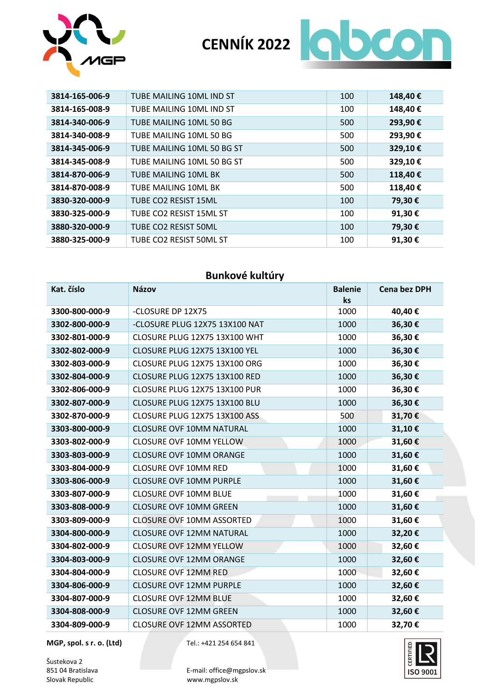



| 3814-165-006-9 | TUBE MAILING 10ML IND ST   | 100 | 148,40€ |
|----------------|----------------------------|-----|---------|
| 3814-165-008-9 | TUBE MAILING 10ML IND ST   | 100 | 148,40€ |
| 3814-340-006-9 | TUBE MAILING 10ML 50 BG    | 500 | 293,90€ |
| 3814-340-008-9 | TUBE MAILING 10ML 50 BG    | 500 | 293,90€ |
| 3814-345-006-9 | TUBE MAILING 10ML 50 BG ST | 500 | 329,10€ |
| 3814-345-008-9 | TUBE MAILING 10ML 50 BG ST | 500 | 329,10€ |
| 3814-870-006-9 | TUBE MAILING 10ML BK       | 500 | 118,40€ |
| 3814-870-008-9 | TUBE MAILING 10ML BK       | 500 | 118,40€ |
| 3830-320-000-9 | TUBE CO2 RESIST 15ML       | 100 | 79,30 € |
| 3830-325-000-9 | TUBE CO2 RESIST 15ML ST    | 100 | 91,30€  |
| 3880-320-000-9 | TUBE CO2 RESIST 50ML       | 100 | 79,30€  |
| 3880-325-000-9 | TUBE CO2 RESIST 50ML ST    | 100 | 91,30€  |

#### **Bunkové kultúry**

| Kat. číslo     | <b>Názov</b>                     | <b>Balenie</b><br>ks | <b>Cena bez DPH</b> |
|----------------|----------------------------------|----------------------|---------------------|
| 3300-800-000-9 | -CLOSURE DP 12X75                | 1000                 | 40,40€              |
| 3302-800-000-9 | -CLOSURE PLUG 12X75 13X100 NAT   | 1000                 | 36,30€              |
| 3302-801-000-9 | CLOSURE PLUG 12X75 13X100 WHT    | 1000                 | 36,30€              |
| 3302-802-000-9 | CLOSURE PLUG 12X75 13X100 YEL    | 1000                 | 36,30€              |
| 3302-803-000-9 | CLOSURE PLUG 12X75 13X100 ORG    | 1000                 | 36,30€              |
| 3302-804-000-9 | CLOSURE PLUG 12X75 13X100 RED    | 1000                 | 36,30€              |
| 3302-806-000-9 | CLOSURE PLUG 12X75 13X100 PUR    | 1000                 | 36,30€              |
| 3302-807-000-9 | CLOSURE PLUG 12X75 13X100 BLU    | 1000                 | 36,30€              |
| 3302-870-000-9 | CLOSURE PLUG 12X75 13X100 ASS    | 500                  | 31,70€              |
| 3303-800-000-9 | <b>CLOSURE OVF 10MM NATURAL</b>  | 1000                 | 31,10€              |
| 3303-802-000-9 | <b>CLOSURE OVF 10MM YELLOW</b>   | 1000                 | 31,60€              |
| 3303-803-000-9 | <b>CLOSURE OVF 10MM ORANGE</b>   | 1000                 | 31,60€              |
| 3303-804-000-9 | <b>CLOSURE OVF 10MM RED</b>      | 1000                 | 31,60€              |
| 3303-806-000-9 | <b>CLOSURE OVF 10MM PURPLE</b>   | 1000                 | 31,60€              |
| 3303-807-000-9 | <b>CLOSURE OVF 10MM BLUE</b>     | 1000                 | 31,60€              |
| 3303-808-000-9 | <b>CLOSURE OVF 10MM GREEN</b>    | 1000                 | 31,60€              |
| 3303-809-000-9 | <b>CLOSURE OVF 10MM ASSORTED</b> | 1000                 | 31,60€              |
| 3304-800-000-9 | <b>CLOSURE OVF 12MM NATURAL</b>  | 1000                 | 32,20€              |
| 3304-802-000-9 | <b>CLOSURE OVF 12MM YELLOW</b>   | 1000                 | 32,60€              |
| 3304-803-000-9 | <b>CLOSURE OVF 12MM ORANGE</b>   | 1000                 | 32,60€              |
| 3304-804-000-9 | <b>CLOSURE OVF 12MM RED</b>      | 1000                 | 32,60€              |
| 3304-806-000-9 | <b>CLOSURE OVF 12MM PURPLE</b>   | 1000                 | 32,60€              |
| 3304-807-000-9 | <b>CLOSURE OVF 12MM BLUE</b>     | 1000                 | 32,60€              |
| 3304-808-000-9 | <b>CLOSURE OVF 12MM GREEN</b>    | 1000                 | 32,60€              |
| 3304-809-000-9 | <b>CLOSURE OVF 12MM ASSORTED</b> | 1000                 | 32,70€              |

**MGP, spol. s r. o. (Ltd)** Tel.: +421 254 654 841

Šustekova 2<br>851 04 Bratislava



851 04 Bratislava **E-mail: office@mgpslov.sk**<br>Slovak Republic Web Workingpslov.sk www.mgpslov.sk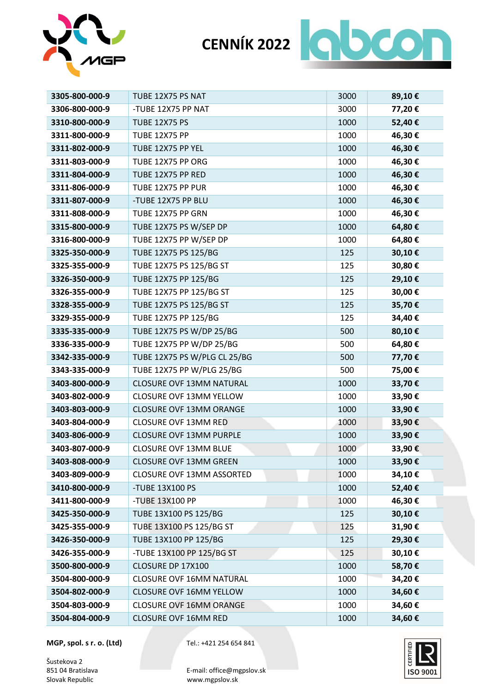



| 3305-800-000-9 | TUBE 12X75 PS NAT               | 3000 | 89,10€ |
|----------------|---------------------------------|------|--------|
| 3306-800-000-9 | -TUBE 12X75 PP NAT              | 3000 | 77,20€ |
| 3310-800-000-9 | <b>TUBE 12X75 PS</b>            | 1000 | 52,40€ |
| 3311-800-000-9 | <b>TUBE 12X75 PP</b>            | 1000 | 46,30€ |
| 3311-802-000-9 | TUBE 12X75 PP YEL               | 1000 | 46,30€ |
| 3311-803-000-9 | TUBE 12X75 PP ORG               | 1000 | 46,30€ |
| 3311-804-000-9 | TUBE 12X75 PP RED               | 1000 | 46,30€ |
| 3311-806-000-9 | TUBE 12X75 PP PUR               | 1000 | 46,30€ |
| 3311-807-000-9 | -TUBE 12X75 PP BLU              | 1000 | 46,30€ |
| 3311-808-000-9 | TUBE 12X75 PP GRN               | 1000 | 46,30€ |
| 3315-800-000-9 | TUBE 12X75 PS W/SEP DP          | 1000 | 64,80€ |
| 3316-800-000-9 | TUBE 12X75 PP W/SEP DP          | 1000 | 64,80€ |
| 3325-350-000-9 | TUBE 12X75 PS 125/BG            | 125  | 30,10€ |
| 3325-355-000-9 | TUBE 12X75 PS 125/BG ST         | 125  | 30,80€ |
| 3326-350-000-9 | TUBE 12X75 PP 125/BG            | 125  | 29,10€ |
| 3326-355-000-9 | TUBE 12X75 PP 125/BG ST         | 125  | 30,00€ |
| 3328-355-000-9 | TUBE 12X75 PS 125/BG ST         | 125  | 35,70€ |
| 3329-355-000-9 | TUBE 12X75 PP 125/BG            | 125  | 34,40€ |
| 3335-335-000-9 | TUBE 12X75 PS W/DP 25/BG        | 500  | 80,10€ |
| 3336-335-000-9 | TUBE 12X75 PP W/DP 25/BG        | 500  | 64,80€ |
| 3342-335-000-9 | TUBE 12X75 PS W/PLG CL 25/BG    | 500  | 77,70€ |
| 3343-335-000-9 | TUBE 12X75 PP W/PLG 25/BG       | 500  | 75,00€ |
| 3403-800-000-9 | <b>CLOSURE OVF 13MM NATURAL</b> | 1000 | 33,70€ |
| 3403-802-000-9 | <b>CLOSURE OVF 13MM YELLOW</b>  | 1000 | 33,90€ |
| 3403-803-000-9 | <b>CLOSURE OVF 13MM ORANGE</b>  | 1000 | 33,90€ |
| 3403-804-000-9 | <b>CLOSURE OVF 13MM RED</b>     | 1000 | 33,90€ |
| 3403-806-000-9 | <b>CLOSURE OVF 13MM PURPLE</b>  | 1000 | 33,90€ |
| 3403-807-000-9 | <b>CLOSURE OVF 13MM BLUE</b>    | 1000 | 33,90€ |
| 3403-808-000-9 | <b>CLOSURE OVF 13MM GREEN</b>   | 1000 | 33,90€ |
| 3403-809-000-9 | CLOSURE OVF 13MM ASSORTED       | 1000 | 34,10€ |
| 3410-800-000-9 | -TUBE 13X100 PS                 | 1000 | 52,40€ |
| 3411-800-000-9 | -TUBE 13X100 PP                 | 1000 | 46,30€ |
| 3425-350-000-9 | TUBE 13X100 PS 125/BG           | 125  | 30,10€ |
| 3425-355-000-9 | TUBE 13X100 PS 125/BG ST        | 125  | 31,90€ |
| 3426-350-000-9 | TUBE 13X100 PP 125/BG           | 125  | 29,30€ |
| 3426-355-000-9 | -TUBE 13X100 PP 125/BG ST       | 125  | 30,10€ |
| 3500-800-000-9 | CLOSURE DP 17X100               | 1000 | 58,70€ |
| 3504-800-000-9 | <b>CLOSURE OVF 16MM NATURAL</b> | 1000 | 34,20€ |
| 3504-802-000-9 | <b>CLOSURE OVF 16MM YELLOW</b>  | 1000 | 34,60€ |
| 3504-803-000-9 | <b>CLOSURE OVF 16MM ORANGE</b>  | 1000 | 34,60€ |
| 3504-804-000-9 | <b>CLOSURE OVF 16MM RED</b>     | 1000 | 34,60€ |

**MGP, spol. s r. o. (Ltd)** Tel.: +421 254 654 841

Šustekova 2<br>851 04 Bratislava

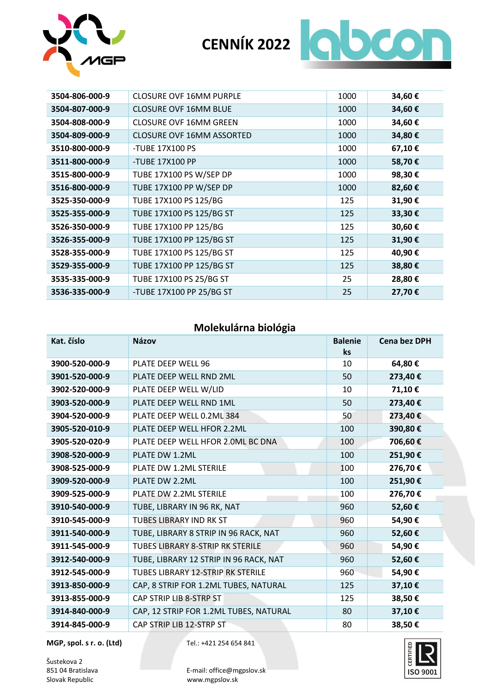



| 3504-806-000-9 | <b>CLOSURE OVF 16MM PURPLE</b>   | 1000 | 34,60€ |
|----------------|----------------------------------|------|--------|
| 3504-807-000-9 | <b>CLOSURE OVF 16MM BLUE</b>     | 1000 | 34,60€ |
| 3504-808-000-9 | <b>CLOSURE OVF 16MM GREEN</b>    | 1000 | 34,60€ |
| 3504-809-000-9 | <b>CLOSURE OVF 16MM ASSORTED</b> | 1000 | 34,80€ |
| 3510-800-000-9 | -TUBE 17X100 PS                  | 1000 | 67,10€ |
| 3511-800-000-9 | -TUBE 17X100 PP                  | 1000 | 58,70€ |
| 3515-800-000-9 | TUBE 17X100 PS W/SEP DP          | 1000 | 98,30€ |
| 3516-800-000-9 | TUBE 17X100 PP W/SEP DP          | 1000 | 82,60€ |
| 3525-350-000-9 | TUBE 17X100 PS 125/BG            | 125  | 31,90€ |
| 3525-355-000-9 | TUBE 17X100 PS 125/BG ST         | 125  | 33,30€ |
| 3526-350-000-9 | TUBE 17X100 PP 125/BG            | 125  | 30,60€ |
| 3526-355-000-9 | TUBE 17X100 PP 125/BG ST         | 125  | 31,90€ |
| 3528-355-000-9 | TUBE 17X100 PS 125/BG ST         | 125  | 40,90€ |
| 3529-355-000-9 | TUBE 17X100 PP 125/BG ST         | 125  | 38,80€ |
| 3535-335-000-9 | TUBE 17X100 PS 25/BG ST          | 25   | 28,80€ |
| 3536-335-000-9 | -TUBE 17X100 PP 25/BG ST         | 25   | 27,70€ |

#### **Molekulárna biológia**

| Kat. číslo     | <b>Názov</b>                            | <b>Balenie</b><br>ks | <b>Cena bez DPH</b> |
|----------------|-----------------------------------------|----------------------|---------------------|
| 3900-520-000-9 | PLATE DEEP WELL 96                      | 10                   | 64,80€              |
| 3901-520-000-9 | PLATE DEEP WELL RND 2ML                 | 50                   | 273,40€             |
| 3902-520-000-9 | PLATE DEEP WELL W/LID                   | 10                   | 71,10€              |
| 3903-520-000-9 | PLATE DEEP WELL RND 1ML                 | 50                   | 273,40€             |
| 3904-520-000-9 | PLATE DEEP WELL 0.2ML 384               | 50                   | 273,40€             |
| 3905-520-010-9 | PLATE DEEP WELL HFOR 2.2ML              | 100                  | 390,80€             |
| 3905-520-020-9 | PLATE DEEP WELL HFOR 2.0ML BC DNA       | 100                  | 706,60€             |
| 3908-520-000-9 | PLATE DW 1.2ML                          | 100                  | 251,90€             |
| 3908-525-000-9 | <b>PLATE DW 1.2ML STERILE</b>           | 100                  | 276,70€             |
| 3909-520-000-9 | PLATE DW 2.2ML                          | 100                  | 251,90€             |
| 3909-525-000-9 | PLATE DW 2.2ML STERILE                  | 100                  | 276,70€             |
| 3910-540-000-9 | TUBE, LIBRARY IN 96 RK, NAT             | 960                  | 52,60€              |
| 3910-545-000-9 | <b>TUBES LIBRARY IND RK ST</b>          | 960                  | 54,90€              |
| 3911-540-000-9 | TUBE, LIBRARY 8 STRIP IN 96 RACK, NAT   | 960                  | 52,60€              |
| 3911-545-000-9 | <b>TUBES LIBRARY 8-STRIP RK STERILE</b> | 960                  | 54,90€              |
| 3912-540-000-9 | TUBE, LIBRARY 12 STRIP IN 96 RACK, NAT  | 960                  | 52,60€              |
| 3912-545-000-9 | TUBES LIBRARY 12-STRIP RK STERILE       | 960                  | 54,90€              |
| 3913-850-000-9 | CAP, 8 STRIP FOR 1.2ML TUBES, NATURAL   | 125                  | 37,10€              |
| 3913-855-000-9 | CAP STRIP LIB 8-STRP ST                 | 125                  | 38,50€              |
| 3914-840-000-9 | CAP, 12 STRIP FOR 1.2ML TUBES, NATURAL  | 80                   | 37,10€              |
| 3914-845-000-9 | CAP STRIP LIB 12-STRP ST                | 80                   | 38,50€              |

**MGP, spol. s r. o. (Ltd)** Tel.: +421 254 654 841

Šustekova 2<br>851 04 Bratislava



851 04 Bratislava **E-mail: office@mgpslov.sk**<br>Slovak Republic Web Workingpslov.sk www.mgpslov.sk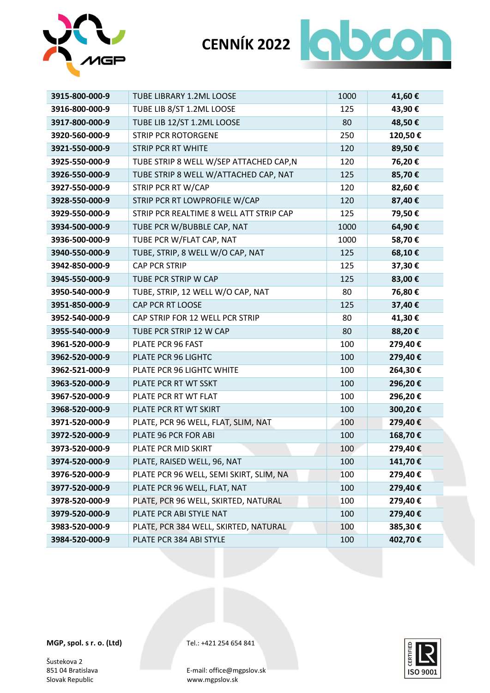

# **CENNÍK 2022 QOOD**

| 3915-800-000-9 | <b>TUBE LIBRARY 1.2ML LOOSE</b>         | 1000 | 41,60€  |
|----------------|-----------------------------------------|------|---------|
| 3916-800-000-9 | TUBE LIB 8/ST 1.2ML LOOSE               | 125  | 43,90€  |
| 3917-800-000-9 | TUBE LIB 12/ST 1.2ML LOOSE              | 80   | 48,50€  |
| 3920-560-000-9 | <b>STRIP PCR ROTORGENE</b>              | 250  | 120,50€ |
| 3921-550-000-9 | <b>STRIP PCR RT WHITE</b>               | 120  | 89,50€  |
| 3925-550-000-9 | TUBE STRIP 8 WELL W/SEP ATTACHED CAP,N  | 120  | 76,20€  |
| 3926-550-000-9 | TUBE STRIP 8 WELL W/ATTACHED CAP, NAT   | 125  | 85,70€  |
| 3927-550-000-9 | STRIP PCR RT W/CAP                      | 120  | 82,60€  |
| 3928-550-000-9 | STRIP PCR RT LOWPROFILE W/CAP           | 120  | 87,40€  |
| 3929-550-000-9 | STRIP PCR REALTIME 8 WELL ATT STRIP CAP | 125  | 79,50€  |
| 3934-500-000-9 | TUBE PCR W/BUBBLE CAP, NAT              | 1000 | 64,90€  |
| 3936-500-000-9 | TUBE PCR W/FLAT CAP, NAT                | 1000 | 58,70€  |
| 3940-550-000-9 | TUBE, STRIP, 8 WELL W/O CAP, NAT        | 125  | 68,10€  |
| 3942-850-000-9 | <b>CAP PCR STRIP</b>                    | 125  | 37,30€  |
| 3945-550-000-9 | TUBE PCR STRIP W CAP                    | 125  | 83,00€  |
| 3950-540-000-9 | TUBE, STRIP, 12 WELL W/O CAP, NAT       | 80   | 76,80€  |
| 3951-850-000-9 | CAP PCR RT LOOSE                        | 125  | 37,40€  |
| 3952-540-000-9 | CAP STRIP FOR 12 WELL PCR STRIP         | 80   | 41,30€  |
| 3955-540-000-9 | TUBE PCR STRIP 12 W CAP                 | 80   | 88,20€  |
| 3961-520-000-9 | PLATE PCR 96 FAST                       | 100  | 279,40€ |
| 3962-520-000-9 | PLATE PCR 96 LIGHTC                     | 100  | 279,40€ |
| 3962-521-000-9 | PLATE PCR 96 LIGHTC WHITE               | 100  | 264,30€ |
| 3963-520-000-9 | PLATE PCR RT WT SSKT                    | 100  | 296,20€ |
| 3967-520-000-9 | PLATE PCR RT WT FLAT                    | 100  | 296,20€ |
| 3968-520-000-9 | PLATE PCR RT WT SKIRT                   | 100  | 300,20€ |
| 3971-520-000-9 | PLATE, PCR 96 WELL, FLAT, SLIM, NAT     | 100  | 279,40€ |
| 3972-520-000-9 | PLATE 96 PCR FOR ABI                    | 100  | 168,70€ |
| 3973-520-000-9 | PLATE PCR MID SKIRT                     | 100  | 279,40€ |
| 3974-520-000-9 | PLATE, RAISED WELL, 96, NAT             | 100  | 141,70€ |
| 3976-520-000-9 | PLATE PCR 96 WELL, SEMI SKIRT, SLIM, NA | 100  | 279,40€ |
| 3977-520-000-9 | PLATE PCR 96 WELL, FLAT, NAT            | 100  | 279,40€ |
| 3978-520-000-9 | PLATE, PCR 96 WELL, SKIRTED, NATURAL    | 100  | 279,40€ |
| 3979-520-000-9 | PLATE PCR ABI STYLE NAT                 | 100  | 279,40€ |
| 3983-520-000-9 | PLATE, PCR 384 WELL, SKIRTED, NATURAL   | 100  | 385,30€ |
| 3984-520-000-9 | PLATE PCR 384 ABI STYLE                 | 100  | 402,70€ |

**MGP, spol. s r. o. (Ltd)** Tel.: +421 254 654 841

Šustekova 2<br>851 04 Bratislava